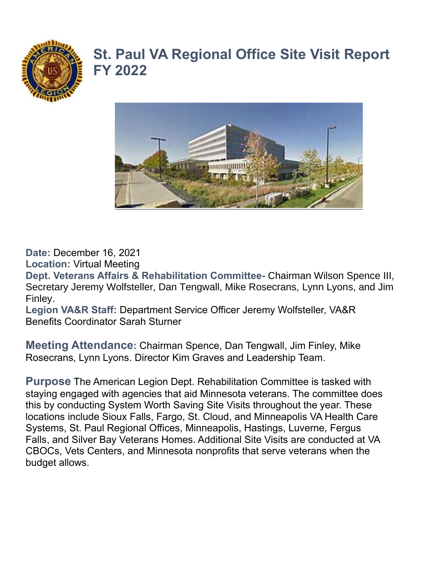

## **St. Paul VA Regional Office Site Visit Report FY 2022**



**Date:** December 16, 2021

**Location:** Virtual Meeting

**Dept. Veterans Affairs & Rehabilitation Committee-** Chairman Wilson Spence III, Secretary Jeremy Wolfsteller, Dan Tengwall, Mike Rosecrans, Lynn Lyons, and Jim Finley.

**Legion VA&R Staff:** Department Service Officer Jeremy Wolfsteller, VA&R Benefits Coordinator Sarah Sturner

**Meeting Attendance:** Chairman Spence, Dan Tengwall, Jim Finley, Mike Rosecrans, Lynn Lyons. Director Kim Graves and Leadership Team.

**Purpose** The American Legion Dept. Rehabilitation Committee is tasked with staying engaged with agencies that aid Minnesota veterans. The committee does this by conducting System Worth Saving Site Visits throughout the year. These locations include Sioux Falls, Fargo, St. Cloud, and Minneapolis VA Health Care Systems, St. Paul Regional Offices, Minneapolis, Hastings, Luverne, Fergus Falls, and Silver Bay Veterans Homes. Additional Site Visits are conducted at VA CBOCs, Vets Centers, and Minnesota nonprofits that serve veterans when the budget allows.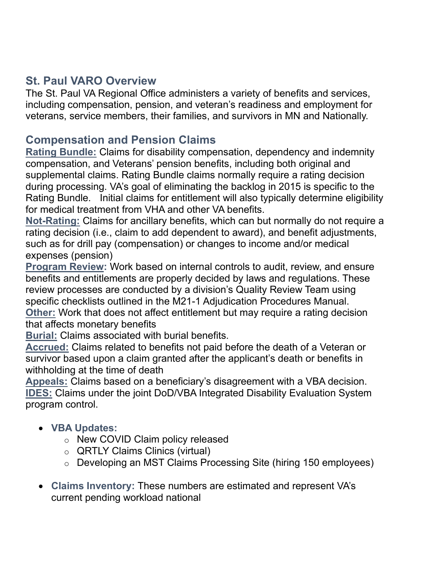## **St. Paul VARO Overview**

The St. Paul VA Regional Office administers a variety of benefits and services, including compensation, pension, and veteran's readiness and employment for veterans, service members, their families, and survivors in MN and Nationally.

## **Compensation and Pension Claims**

**Rating Bundle:** Claims for disability compensation, dependency and indemnity compensation, and Veterans' pension benefits, including both original and supplemental claims. Rating Bundle claims normally require a rating decision during processing. VA's goal of eliminating the backlog in 2015 is specific to the Rating Bundle. Initial claims for entitlement will also typically determine eligibility for medical treatment from VHA and other VA benefits.

**Not-Rating:** Claims for ancillary benefits, which can but normally do not require a rating decision (i.e., claim to add dependent to award), and benefit adjustments, such as for drill pay (compensation) or changes to income and/or medical expenses (pension)

**Program Review:** Work based on internal controls to audit, review, and ensure benefits and entitlements are properly decided by laws and regulations. These review processes are conducted by a division's Quality Review Team using specific checklists outlined in the M21-1 Adjudication Procedures Manual. **Other:** Work that does not affect entitlement but may require a rating decision that affects monetary benefits

**Burial:** Claims associated with burial benefits.

**Accrued:** Claims related to benefits not paid before the death of a Veteran or survivor based upon a claim granted after the applicant's death or benefits in withholding at the time of death

**Appeals:** Claims based on a beneficiary's disagreement with a VBA decision. **IDES:** Claims under the joint DoD/VBA Integrated Disability Evaluation System program control.

- **VBA Updates:** 
	- o New COVID Claim policy released
	- o QRTLY Claims Clinics (virtual)
	- o Developing an MST Claims Processing Site (hiring 150 employees)
- **Claims Inventory:** These numbers are estimated and represent VA's current pending workload national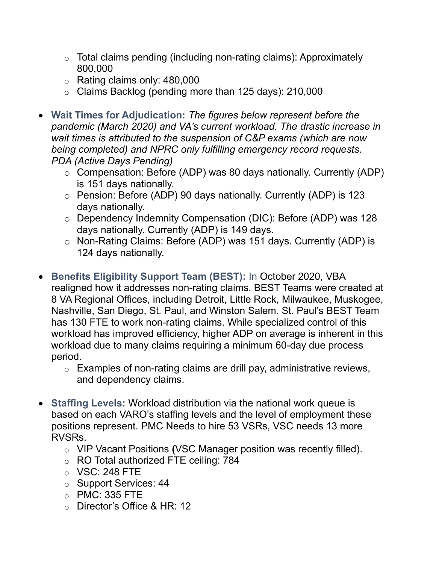- $\circ$  Total claims pending (including non-rating claims): Approximately 800,000
- $\circ$  Rating claims only: 480,000
- o Claims Backlog (pending more than 125 days): 210,000
- **Wait Times for Adjudication:** *The figures below represent before the pandemic (March 2020) and VA's current workload. The drastic increase in wait times is attributed to the suspension of C&P exams (which are now being completed) and NPRC only fulfilling emergency record requests. PDA (Active Days Pending)* 
	- o Compensation: Before (ADP) was 80 days nationally. Currently (ADP) is 151 days nationally.
	- o Pension: Before (ADP) 90 days nationally. Currently (ADP) is 123 days nationally.
	- o Dependency Indemnity Compensation (DIC): Before (ADP) was 128 days nationally. Currently (ADP) is 149 days.
	- o Non-Rating Claims: Before (ADP) was 151 days. Currently (ADP) is 124 days nationally.
- **Benefits Eligibility Support Team (BEST):** In October 2020, VBA realigned how it addresses non-rating claims. BEST Teams were created at 8 VA Regional Offices, including Detroit, Little Rock, Milwaukee, Muskogee, Nashville, San Diego, St. Paul, and Winston Salem. St. Paul's BEST Team has 130 FTE to work non-rating claims. While specialized control of this workload has improved efficiency, higher ADP on average is inherent in this workload due to many claims requiring a minimum 60-day due process period.
	- $\circ$  Examples of non-rating claims are drill pay, administrative reviews, and dependency claims.
- **Staffing Levels:** Workload distribution via the national work queue is based on each VARO's staffing levels and the level of employment these positions represent. PMC Needs to hire 53 VSRs, VSC needs 13 more RVSRs.
	- o VIP Vacant Positions **(**VSC Manager position was recently filled).
	- o RO Total authorized FTE ceiling: 784
	- o VSC: 248 FTE
	- o Support Services: 44
	- o PMC: 335 FTE
	- o Director's Office & HR: 12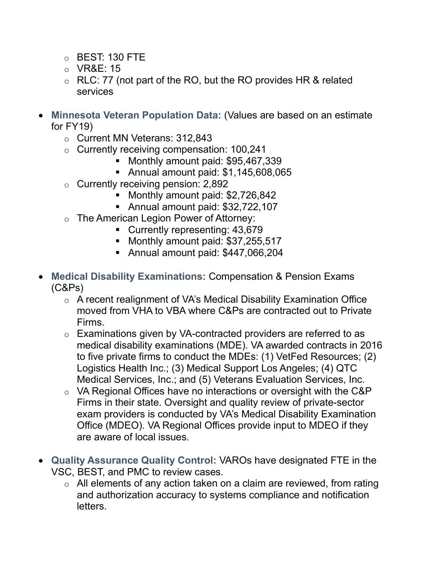- o BEST: 130 FTE
- o VR&E: 15
- $\circ$  RLC: 77 (not part of the RO, but the RO provides HR & related services
- **Minnesota Veteran Population Data:** (Values are based on an estimate for FY19)
	- o Current MN Veterans: 312,843
	- o Currently receiving compensation: 100,241
		- Monthly amount paid: \$95,467,339
		- Annual amount paid: \$1,145,608,065
	- $\circ$  Currently receiving pension: 2,892
		- Monthly amount paid: \$2,726,842
		- Annual amount paid: \$32,722,107
	- o The American Legion Power of Attorney:
		- Currently representing: 43,679
		- Monthly amount paid: \$37,255,517
		- Annual amount paid: \$447,066,204
- **Medical Disability Examinations:** Compensation & Pension Exams (C&Ps)
	- o A recent realignment of VA's Medical Disability Examination Office moved from VHA to VBA where C&Ps are contracted out to Private Firms.
	- o Examinations given by VA-contracted providers are referred to as medical disability examinations (MDE). VA awarded contracts in 2016 to five private firms to conduct the MDEs: (1) VetFed Resources; (2) Logistics Health Inc.; (3) Medical Support Los Angeles; (4) QTC Medical Services, Inc.; and (5) Veterans Evaluation Services, Inc.
	- o VA Regional Offices have no interactions or oversight with the C&P Firms in their state. Oversight and quality review of private-sector exam providers is conducted by VA's Medical Disability Examination Office (MDEO). VA Regional Offices provide input to MDEO if they are aware of local issues.
- **Quality Assurance Quality Control:** VAROs have designated FTE in the VSC, BEST, and PMC to review cases.
	- $\circ$  All elements of any action taken on a claim are reviewed, from rating and authorization accuracy to systems compliance and notification letters.